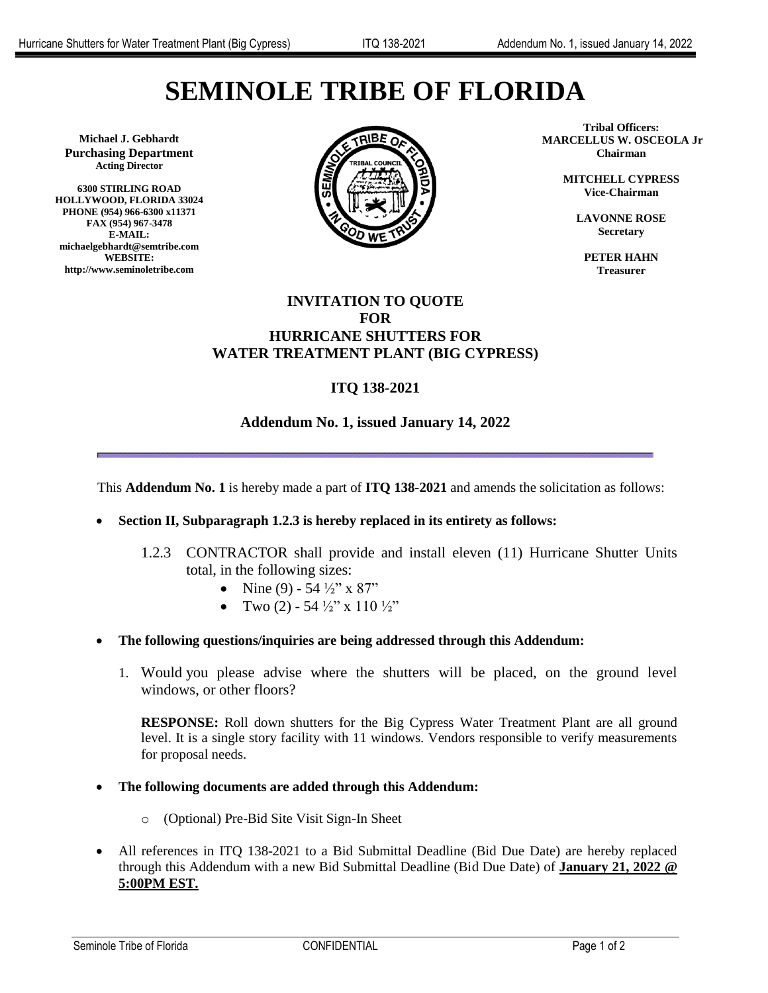# **SEMINOLE TRIBE OF FLORIDA**

**Michael J. Gebhardt Purchasing Department Acting Director**

**6300 STIRLING ROAD HOLLYWOOD, FLORIDA 33024 PHONE (954) 966-6300 x11371 FAX (954) 967-3478 E-MAIL: michaelgebhardt@semtribe.com WEBSITE: http://www.seminoletribe.com**



**Tribal Officers: MARCELLUS W. OSCEOLA Jr. Chairman**

> **MITCHELL CYPRESS Vice-Chairman**

> > **LAVONNE ROSE Secretary**

**PETER HAHN Treasurer**

### **INVITATION TO QUOTE FOR HURRICANE SHUTTERS FOR WATER TREATMENT PLANT (BIG CYPRESS)**

# **ITQ 138-2021**

## **Addendum No. 1, issued January 14, 2022**

This **Addendum No. 1** is hereby made a part of **ITQ 138-2021** and amends the solicitation as follows:

- **Section II, Subparagraph 1.2.3 is hereby replaced in its entirety as follows:**
	- 1.2.3 CONTRACTOR shall provide and install eleven (11) Hurricane Shutter Units total, in the following sizes:
		- Nine (9) 54  $\frac{1}{2}$ " x 87"
		- Two  $(2)$  54  $\frac{1}{2}$ " x 110  $\frac{1}{2}$ "
- **The following questions/inquiries are being addressed through this Addendum:**
	- 1. Would you please advise where the shutters will be placed, on the ground level windows, or other floors?

**RESPONSE:** Roll down shutters for the Big Cypress Water Treatment Plant are all ground level. It is a single story facility with 11 windows. Vendors responsible to verify measurements for proposal needs.

#### **The following documents are added through this Addendum:**

- o (Optional) Pre-Bid Site Visit Sign-In Sheet
- All references in ITQ 138-2021 to a Bid Submittal Deadline (Bid Due Date) are hereby replaced through this Addendum with a new Bid Submittal Deadline (Bid Due Date) of **January 21, 2022 @ 5:00PM EST.**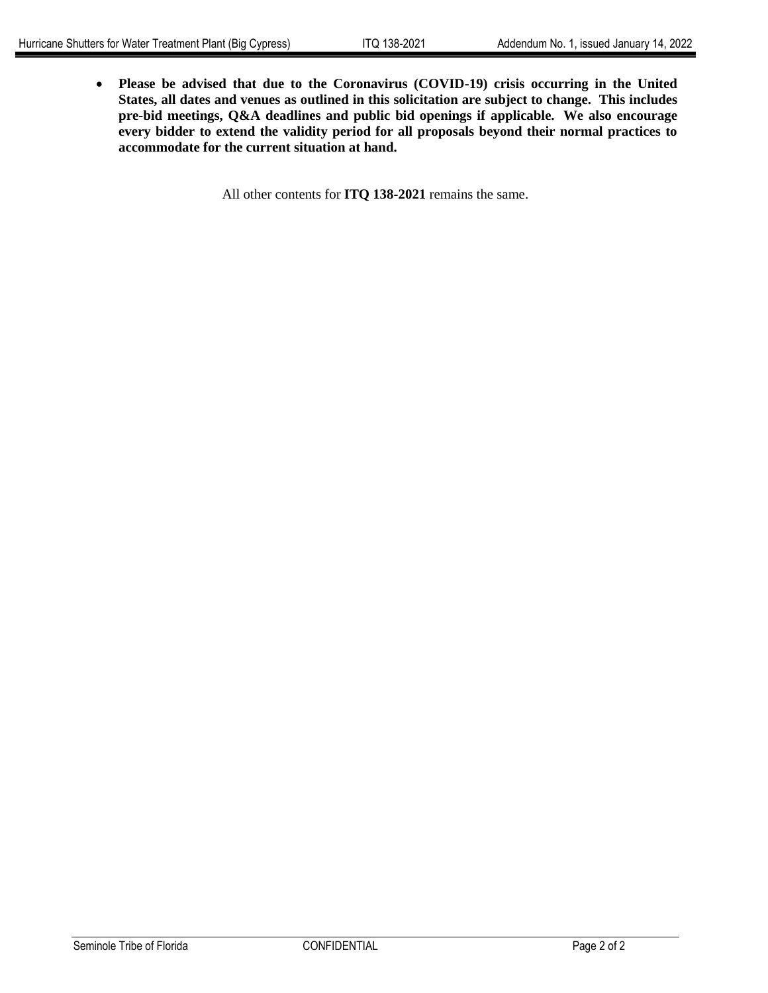**Please be advised that due to the Coronavirus (COVID-19) crisis occurring in the United States, all dates and venues as outlined in this solicitation are subject to change. This includes pre-bid meetings, Q&A deadlines and public bid openings if applicable. We also encourage every bidder to extend the validity period for all proposals beyond their normal practices to accommodate for the current situation at hand.**

All other contents for **ITQ 138-2021** remains the same.